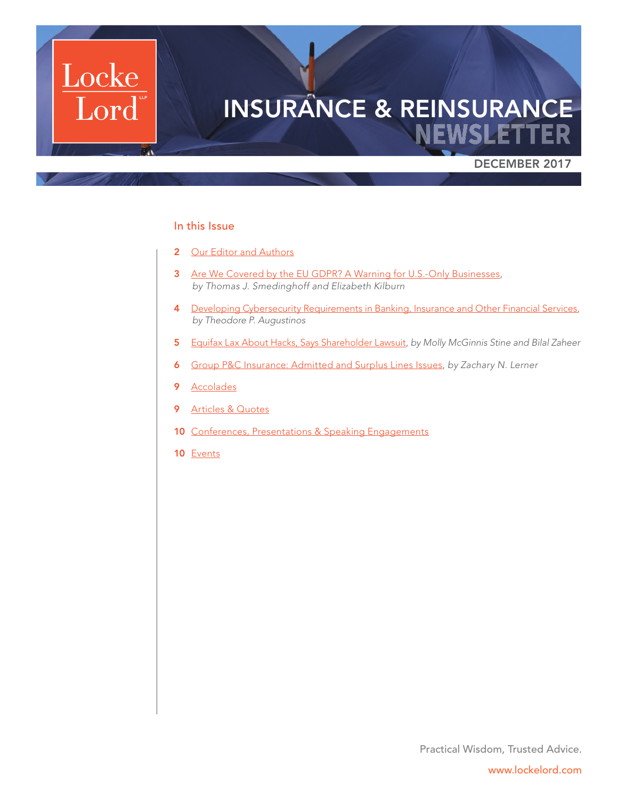

### In this Issue

- 2 [Our Editor and Authors](#page-1-0)
- 3 [Are We Covered by the EU GDPR? A Warning for U.S.-Only Businesses,](#page-2-0) *by Thomas J. Smedinghoff and Elizabeth Kilburn*
- 4 [Developing Cybersecurity Requirements in Banking, Insurance and Other Financial Services](#page-3-0), *by Theodore P. Augustinos*
- 5 [Equifax Lax About Hacks, Says Shareholder Lawsuit](#page-4-0), *by Molly McGinnis Stine and Bilal Zaheer*
- 6 [Group P&C Insurance: Admitted and Surplus Lines Issues](#page-5-0), *by Zachary N. Lerner*
- 9 [Accolades](#page-8-0)
- 9 [Articles & Quotes](#page-8-1)
- 10 [Conferences, Presentations & Speaking Engagements](#page-9-0)
- 10 [Events](#page-9-1)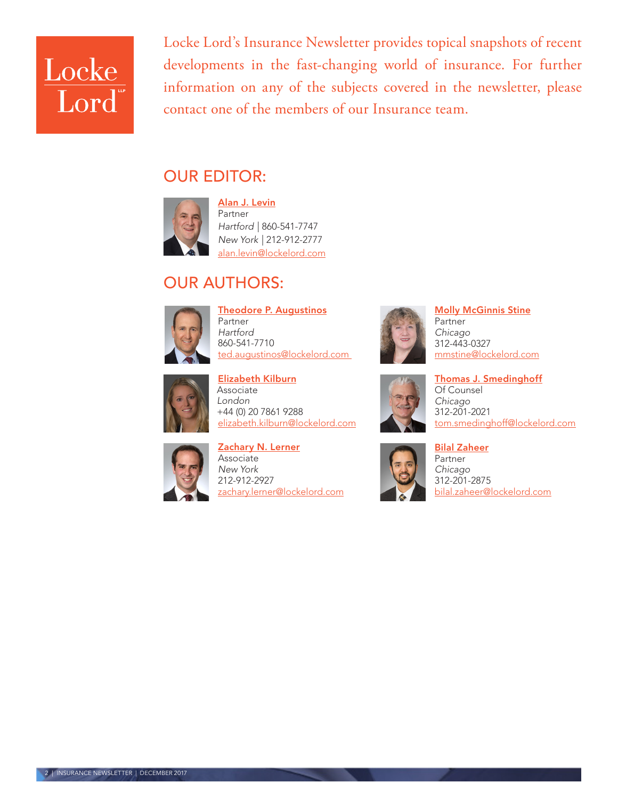

Locke Lord's Insurance Newsletter provides topical snapshots of recent developments in the fast-changing world of insurance. For further information on any of the subjects covered in the newsletter, please contact one of the members of our Insurance team.

## <span id="page-1-0"></span>OUR EDITOR:



[Alan J. Levin](http://www.lockelord.com/professionals/l/levin-alan-j) Partner *Hartford |* 860-541-7747 *New York |* 212-912-2777 [alan.levin@lockelord.com](mailto:alan.levin%40lockelord.com?subject=)

# OUR AUTHORS:



[Theodore P. Augustinos](http://www.lockelord.com/professionals/a/augustinos-theodore-p) Partner *Hartford* 860-541-7710 [ted.augustinos@lockelord.com](mailto:ted.augustinos%40lockelord.com?subject=) 



[Elizabeth Kilburn](https://www.lockelord.com/professionals/k/kilburn-elizabeth?lang=en) Associate *London* +44 (0) 20 7861 9288 [elizabeth.kilburn@lockelord.com](mailto:elizabeth.kilburn%40lockelord.com?subject=)



[Zachary N. Lerner](https://www.lockelord.com/professionals/l/lerner-zachary-n?lang=en) Associate *New York* 212-912-2927 [zachary.lerner@lockelord.com](mailto:zachary.lerner@lockelord.com)



[Molly McGinnis Stine](https://www.lockelord.com/professionals/s/stine-molly-mcginnis?lang=en) Partner *Chicago* 312-443-0327 mmstin[e@lockelord.com](mailto:mmstine%40lockelord.com?subject=)



[Thomas J. Smedinghoff](https://www.lockelord.com/professionals/s/smedinghoff-thomas-j?lang=en) Of Counsel *Chicago* 312-201-2021 [tom.smedinghoff@lockelord.com](mailto:tom.smedinghoff%40lockelord.com?subject=)



[Bilal Zaheer](https://www.lockelord.com/professionals/z/zaheer-bilal?lang=en) Partner *Chicago* 312-201-2875 [bilal.zaheer@lockelord.com](mailto:bilal.zaheer%40lockelord.com?subject=)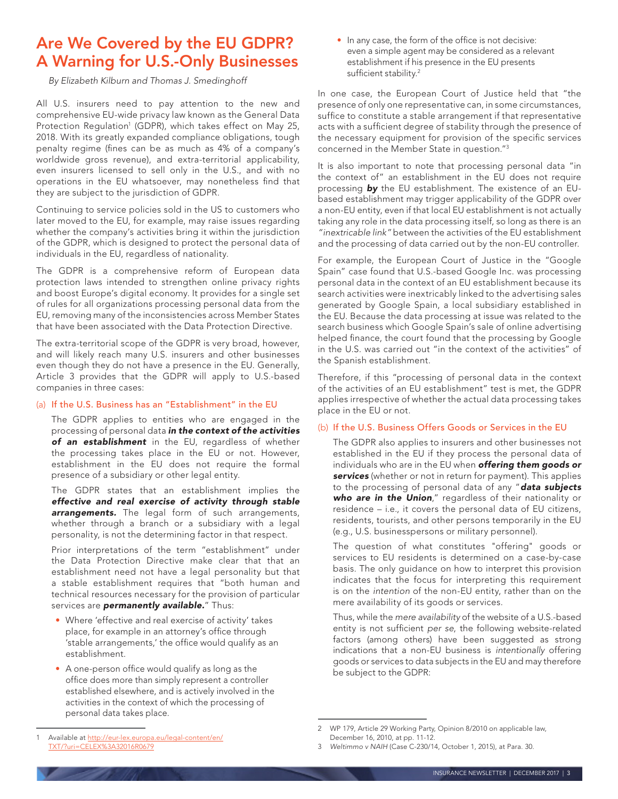## <span id="page-2-0"></span>Are We Covered by the EU GDPR? A Warning for U.S.-Only Businesses

*By Elizabeth Kilburn and Thomas J. Smedinghoff*

All U.S. insurers need to pay attention to the new and comprehensive EU-wide privacy law known as the General Data Protection Regulation<sup>1</sup> (GDPR), which takes effect on May 25, 2018. With its greatly expanded compliance obligations, tough penalty regime (fines can be as much as 4% of a company's worldwide gross revenue), and extra-territorial applicability, even insurers licensed to sell only in the U.S., and with no operations in the EU whatsoever, may nonetheless find that they are subject to the jurisdiction of GDPR.

Continuing to service policies sold in the US to customers who later moved to the EU, for example, may raise issues regarding whether the company's activities bring it within the jurisdiction of the GDPR, which is designed to protect the personal data of individuals in the EU, regardless of nationality.

The GDPR is a comprehensive reform of European data protection laws intended to strengthen online privacy rights and boost Europe's digital economy. It provides for a single set of rules for all organizations processing personal data from the EU, removing many of the inconsistencies across Member States that have been associated with the Data Protection Directive.

The extra-territorial scope of the GDPR is very broad, however, and will likely reach many U.S. insurers and other businesses even though they do not have a presence in the EU. Generally, Article 3 provides that the GDPR will apply to U.S.-based companies in three cases:

#### (a) If the U.S. Business has an "Establishment" in the EU

The GDPR applies to entities who are engaged in the processing of personal data *in the context of the activities of an establishment* in the EU, regardless of whether the processing takes place in the EU or not. However, establishment in the EU does not require the formal presence of a subsidiary or other legal entity.

The GDPR states that an establishment implies the *effective and real exercise of activity through stable arrangements.* The legal form of such arrangements, whether through a branch or a subsidiary with a legal personality, is not the determining factor in that respect.

Prior interpretations of the term "establishment" under the Data Protection Directive make clear that that an establishment need not have a legal personality but that a stable establishment requires that "both human and technical resources necessary for the provision of particular services are *permanently available.*" Thus:

- Where 'effective and real exercise of activity' takes place, for example in an attorney's office through 'stable arrangements,' the office would qualify as an establishment.
- A one-person office would qualify as long as the office does more than simply represent a controller established elsewhere, and is actively involved in the activities in the context of which the processing of personal data takes place.

• In any case, the form of the office is not decisive: even a simple agent may be considered as a relevant establishment if his presence in the EU presents sufficient stability.<sup>2</sup>

In one case, the European Court of Justice held that "the presence of only one representative can, in some circumstances, suffice to constitute a stable arrangement if that representative acts with a sufficient degree of stability through the presence of the necessary equipment for provision of the specific services concerned in the Member State in question."3

It is also important to note that processing personal data "in the context of" an establishment in the EU does not require processing *by* the EU establishment. The existence of an EUbased establishment may trigger applicability of the GDPR over a non-EU entity, even if that local EU establishment is not actually taking any role in the data processing itself, so long as there is an *"inextricable link"* between the activities of the EU establishment and the processing of data carried out by the non-EU controller.

For example, the European Court of Justice in the "Google Spain" case found that U.S.-based Google Inc. was processing personal data in the context of an EU establishment because its search activities were inextricably linked to the advertising sales generated by Google Spain, a local subsidiary established in the EU. Because the data processing at issue was related to the search business which Google Spain's sale of online advertising helped finance, the court found that the processing by Google in the U.S. was carried out "in the context of the activities" of the Spanish establishment.

Therefore, if this "processing of personal data in the context of the activities of an EU establishment" test is met, the GDPR applies irrespective of whether the actual data processing takes place in the EU or not.

### (b) If the U.S. Business Offers Goods or Services in the EU

The GDPR also applies to insurers and other businesses not established in the EU if they process the personal data of individuals who are in the EU when *offering them goods or services* (whether or not in return for payment). This applies to the processing of personal data of any "*data subjects who are in the Union*," regardless of their nationality or residence – i.e., it covers the personal data of EU citizens, residents, tourists, and other persons temporarily in the EU (e.g., U.S. businesspersons or military personnel).

The question of what constitutes "offering" goods or services to EU residents is determined on a case-by-case basis. The only guidance on how to interpret this provision indicates that the focus for interpreting this requirement is on the *intention* of the non-EU entity, rather than on the mere availability of its goods or services.

Thus, while the *mere availability* of the website of a U.S.-based entity is not sufficient *per se*, the following website-related factors (among others) have been suggested as strong indications that a non-EU business is *intentionally* offering goods or services to data subjects in the EU and may therefore be subject to the GDPR:

<sup>2</sup> WP 179, Article 29 Working Party, Opinion 8/2010 on applicable law, December 16, 2010, at pp. 11-12.

<sup>3</sup> *Weltimmo v NAIH* (Case C-230/14, October 1, 2015), at Para. 30.

Available at h[ttp://eur-lex.europa.eu/legal-content/en/](http://eur-lex.europa.eu/legal-content/en/TXT/?uri=CELEX%3A32016R0679) [TXT/?uri=CELEX%3A32016R0679](http://eur-lex.europa.eu/legal-content/en/TXT/?uri=CELEX%3A32016R0679)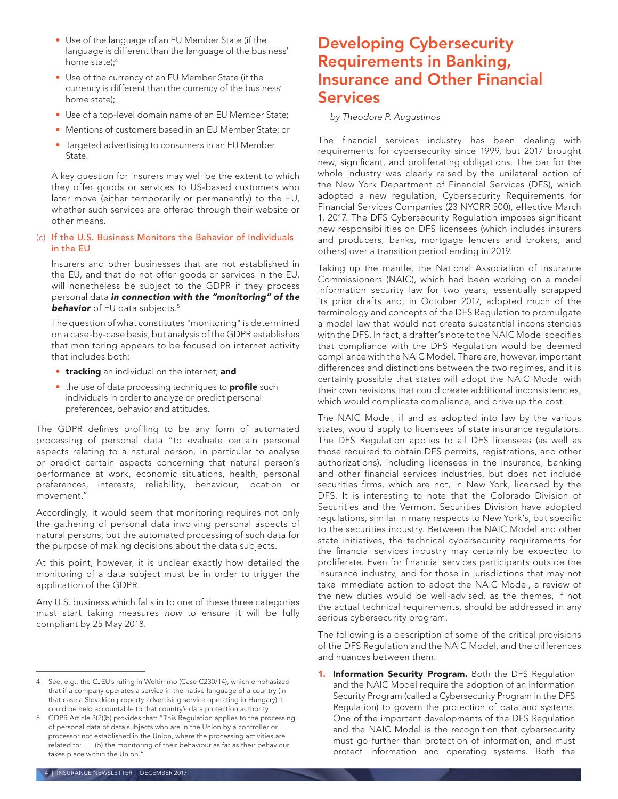- Use of the language of an EU Member State (if the language is different than the language of the business' home state);4
- Use of the currency of an EU Member State (if the currency is different than the currency of the business' home state);
- Use of a top-level domain name of an EU Member State;
- Mentions of customers based in an EU Member State; or
- Targeted advertising to consumers in an EU Member State.

A key question for insurers may well be the extent to which they offer goods or services to US-based customers who later move (either temporarily or permanently) to the EU, whether such services are offered through their website or other means.

#### (c) If the U.S. Business Monitors the Behavior of Individuals in the EU

Insurers and other businesses that are not established in the EU, and that do not offer goods or services in the EU, will nonetheless be subject to the GDPR if they process personal data *in connection with the "monitoring" of the*  **behavior** of EU data subjects.<sup>5</sup>

The question of what constitutes "monitoring" is determined on a case-by-case basis, but analysis of the GDPR establishes that monitoring appears to be focused on internet activity that includes both:

- **tracking** an individual on the internet; and
- the use of data processing techniques to **profile** such individuals in order to analyze or predict personal preferences, behavior and attitudes.

The GDPR defines profiling to be any form of automated processing of personal data "to evaluate certain personal aspects relating to a natural person, in particular to analyse or predict certain aspects concerning that natural person's performance at work, economic situations, health, personal preferences, interests, reliability, behaviour, location or movement."

Accordingly, it would seem that monitoring requires not only the gathering of personal data involving personal aspects of natural persons, but the automated processing of such data for the purpose of making decisions about the data subjects.

At this point, however, it is unclear exactly how detailed the monitoring of a data subject must be in order to trigger the application of the GDPR.

Any U.S. business which falls in to one of these three categories must start taking measures *now* to ensure it will be fully compliant by 25 May 2018.

### <span id="page-3-0"></span>Developing Cybersecurity Requirements in Banking, Insurance and Other Financial Services

#### *by Theodore P. Augustinos*

The financial services industry has been dealing with requirements for cybersecurity since 1999, but 2017 brought new, significant, and proliferating obligations. The bar for the whole industry was clearly raised by the unilateral action of the New York Department of Financial Services (DFS), which adopted a new regulation, Cybersecurity Requirements for Financial Services Companies (23 NYCRR 500), effective March 1, 2017. The DFS Cybersecurity Regulation imposes significant new responsibilities on DFS licensees (which includes insurers and producers, banks, mortgage lenders and brokers, and others) over a transition period ending in 2019.

Taking up the mantle, the National Association of Insurance Commissioners (NAIC), which had been working on a model information security law for two years, essentially scrapped its prior drafts and, in October 2017, adopted much of the terminology and concepts of the DFS Regulation to promulgate a model law that would not create substantial inconsistencies with the DFS. In fact, a drafter's note to the NAIC Model specifies that compliance with the DFS Regulation would be deemed compliance with the NAIC Model. There are, however, important differences and distinctions between the two regimes, and it is certainly possible that states will adopt the NAIC Model with their own revisions that could create additional inconsistencies, which would complicate compliance, and drive up the cost.

The NAIC Model, if and as adopted into law by the various states, would apply to licensees of state insurance regulators. The DFS Regulation applies to all DFS licensees (as well as those required to obtain DFS permits, registrations, and other authorizations), including licensees in the insurance, banking and other financial services industries, but does not include securities firms, which are not, in New York, licensed by the DFS. It is interesting to note that the Colorado Division of Securities and the Vermont Securities Division have adopted regulations, similar in many respects to New York's, but specific to the securities industry. Between the NAIC Model and other state initiatives, the technical cybersecurity requirements for the financial services industry may certainly be expected to proliferate. Even for financial services participants outside the insurance industry, and for those in jurisdictions that may not take immediate action to adopt the NAIC Model, a review of the new duties would be well-advised, as the themes, if not the actual technical requirements, should be addressed in any serious cybersecurity program.

The following is a description of some of the critical provisions of the DFS Regulation and the NAIC Model, and the differences and nuances between them.

1. Information Security Program. Both the DFS Regulation and the NAIC Model require the adoption of an Information Security Program (called a Cybersecurity Program in the DFS Regulation) to govern the protection of data and systems. One of the important developments of the DFS Regulation and the NAIC Model is the recognition that cybersecurity must go further than protection of information, and must protect information and operating systems. Both the

<sup>4</sup> See, e.g., the CJEU's ruling in Weltimmo (Case C230/14), which emphasized that if a company operates a service in the native language of a country (in that case a Slovakian property advertising service operating in Hungary) it could be held accountable to that country's data protection authority.

<sup>5</sup> GDPR Article 3(2)(b) provides that: "This Regulation applies to the processing of personal data of data subjects who are in the Union by a controller or processor not established in the Union, where the processing activities are related to: . . . (b) the monitoring of their behaviour as far as their behaviour takes place within the Union."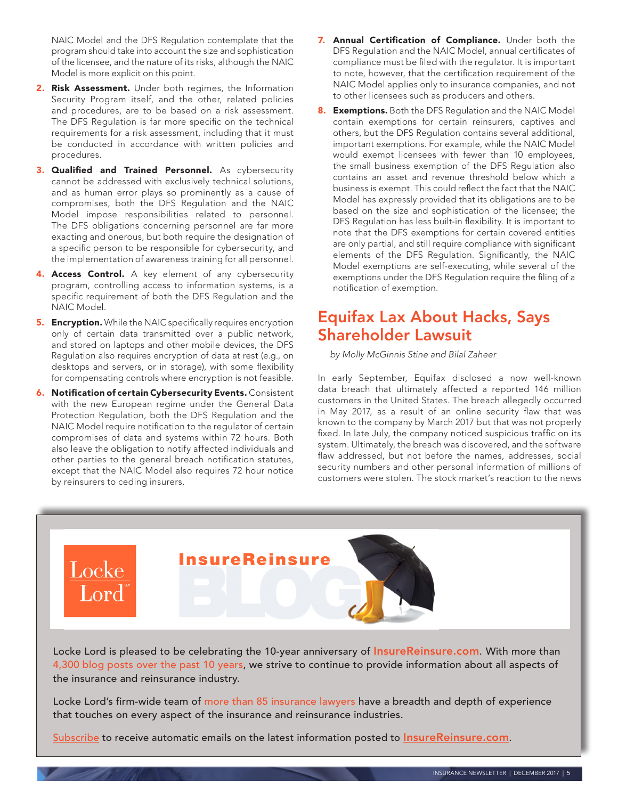NAIC Model and the DFS Regulation contemplate that the program should take into account the size and sophistication of the licensee, and the nature of its risks, although the NAIC Model is more explicit on this point.

- 2. Risk Assessment. Under both regimes, the Information Security Program itself, and the other, related policies and procedures, are to be based on a risk assessment. The DFS Regulation is far more specific on the technical requirements for a risk assessment, including that it must be conducted in accordance with written policies and procedures.
- **3. Qualified and Trained Personnel.** As cybersecurity cannot be addressed with exclusively technical solutions, and as human error plays so prominently as a cause of compromises, both the DFS Regulation and the NAIC Model impose responsibilities related to personnel. The DFS obligations concerning personnel are far more exacting and onerous, but both require the designation of a specific person to be responsible for cybersecurity, and the implementation of awareness training for all personnel.
- 4. Access Control. A key element of any cybersecurity program, controlling access to information systems, is a specific requirement of both the DFS Regulation and the NAIC Model.
- **5. Encryption.** While the NAIC specifically requires encryption only of certain data transmitted over a public network, and stored on laptops and other mobile devices, the DFS Regulation also requires encryption of data at rest (e.g., on desktops and servers, or in storage), with some flexibility for compensating controls where encryption is not feasible.
- **6. Notification of certain Cybersecurity Events.** Consistent with the new European regime under the General Data Protection Regulation, both the DFS Regulation and the NAIC Model require notification to the regulator of certain compromises of data and systems within 72 hours. Both also leave the obligation to notify affected individuals and other parties to the general breach notification statutes, except that the NAIC Model also requires 72 hour notice by reinsurers to ceding insurers.
- 7. Annual Certification of Compliance. Under both the DFS Regulation and the NAIC Model, annual certificates of compliance must be filed with the regulator. It is important to note, however, that the certification requirement of the NAIC Model applies only to insurance companies, and not to other licensees such as producers and others.
- 8. Exemptions. Both the DFS Regulation and the NAIC Model contain exemptions for certain reinsurers, captives and others, but the DFS Regulation contains several additional, important exemptions. For example, while the NAIC Model would exempt licensees with fewer than 10 employees, the small business exemption of the DFS Regulation also contains an asset and revenue threshold below which a business is exempt. This could reflect the fact that the NAIC Model has expressly provided that its obligations are to be based on the size and sophistication of the licensee; the DFS Regulation has less built-in flexibility. It is important to note that the DFS exemptions for certain covered entities are only partial, and still require compliance with significant elements of the DFS Regulation. Significantly, the NAIC Model exemptions are self-executing, while several of the exemptions under the DFS Regulation require the filing of a notification of exemption.

## <span id="page-4-0"></span>Equifax Lax About Hacks, Says Shareholder Lawsuit

*by Molly McGinnis Stine and Bilal Zaheer* 

In early September, Equifax disclosed a now well-known data breach that ultimately affected a reported 146 million customers in the United States. The breach allegedly occurred in May 2017, as a result of an online security flaw that was known to the company by March 2017 but that was not properly fixed. In late July, the company noticed suspicious traffic on its system. Ultimately, the breach was discovered, and the software flaw addressed, but not before the names, addresses, social security numbers and other personal information of millions of customers were stolen. The stock market's reaction to the news



Locke Lord is pleased to be celebrating the 10-year anniversary of *[InsureReinsure.com](http://InsureReinsure.com)*. With more than 4,300 blog posts over the past 10 years, we strive to continue to provide information about all aspects of the insurance and reinsurance industry.

Locke Lord's firm-wide team of more than 85 insurance lawyers have a breadth and depth of experience that touches on every aspect of the insurance and reinsurance industries.

[Subscribe](http://www.insurereinsure.com/?view=subscribe) to receive automatic emails on the latest information posted to **[InsureReinsure.com](http://InsureReinsure.com)**.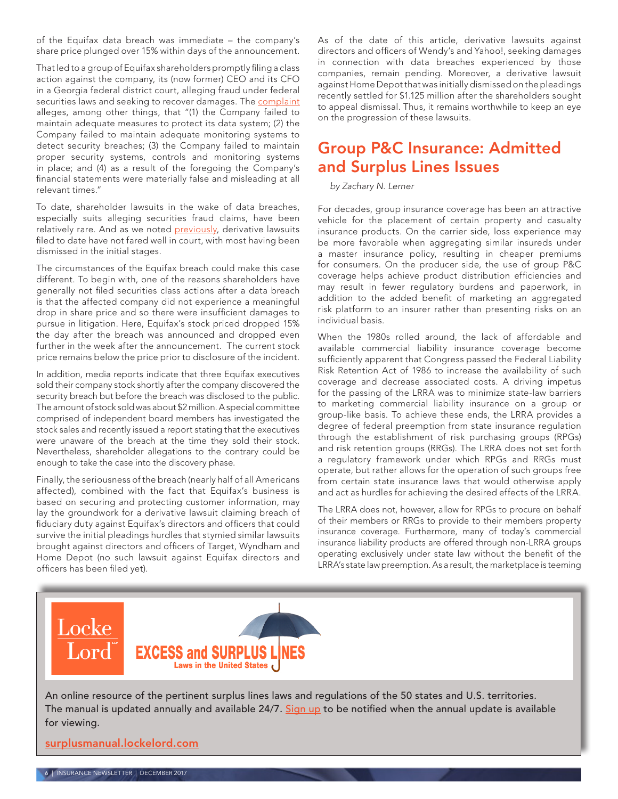of the Equifax data breach was immediate – the company's share price plunged over 15% within days of the announcement.

That led to a group of Equifax shareholders promptly filing a class action against the company, its (now former) CEO and its CFO in a Georgia federal district court, alleging fraud under federal securities laws and seeking to recover damages. The [complaint](https://drive.google.com/file/d/0ByaY0P9LR78xeXhNbi1oX2pBRGM/view) alleges, among other things, that "(1) the Company failed to maintain adequate measures to protect its data system; (2) the Company failed to maintain adequate monitoring systems to detect security breaches; (3) the Company failed to maintain proper security systems, controls and monitoring systems in place; and (4) as a result of the foregoing the Company's financial statements were materially false and misleading at all relevant times."

To date, shareholder lawsuits in the wake of data breaches, especially suits alleging securities fraud claims, have been relatively rare. And as we noted [previously,](http://www.lockelord.com/newsandevents/publications/2017/05/if-at-first-you-dont-succeed) derivative lawsuits filed to date have not fared well in court, with most having been dismissed in the initial stages.

The circumstances of the Equifax breach could make this case different. To begin with, one of the reasons shareholders have generally not filed securities class actions after a data breach is that the affected company did not experience a meaningful drop in share price and so there were insufficient damages to pursue in litigation. Here, Equifax's stock priced dropped 15% the day after the breach was announced and dropped even further in the week after the announcement. The current stock price remains below the price prior to disclosure of the incident.

In addition, media reports indicate that three Equifax executives sold their company stock shortly after the company discovered the security breach but before the breach was disclosed to the public. The amount of stock sold was about \$2 million. A special committee comprised of independent board members has investigated the stock sales and recently issued a report stating that the executives were unaware of the breach at the time they sold their stock. Nevertheless, shareholder allegations to the contrary could be enough to take the case into the discovery phase.

Finally, the seriousness of the breach (nearly half of all Americans affected), combined with the fact that Equifax's business is based on securing and protecting customer information, may lay the groundwork for a derivative lawsuit claiming breach of fiduciary duty against Equifax's directors and officers that could survive the initial pleadings hurdles that stymied similar lawsuits brought against directors and officers of Target, Wyndham and Home Depot (no such lawsuit against Equifax directors and officers has been filed yet).

As of the date of this article, derivative lawsuits against directors and officers of Wendy's and Yahoo!, seeking damages in connection with data breaches experienced by those companies, remain pending. Moreover, a derivative lawsuit against Home Depot that was initially dismissed on the pleadings recently settled for \$1.125 million after the shareholders sought to appeal dismissal. Thus, it remains worthwhile to keep an eye on the progression of these lawsuits.

### <span id="page-5-0"></span>Group P&C Insurance: Admitted and Surplus Lines Issues

*by Zachary N. Lerner* 

For decades, group insurance coverage has been an attractive vehicle for the placement of certain property and casualty insurance products. On the carrier side, loss experience may be more favorable when aggregating similar insureds under a master insurance policy, resulting in cheaper premiums for consumers. On the producer side, the use of group P&C coverage helps achieve product distribution efficiencies and may result in fewer regulatory burdens and paperwork, in addition to the added benefit of marketing an aggregated risk platform to an insurer rather than presenting risks on an individual basis.

When the 1980s rolled around, the lack of affordable and available commercial liability insurance coverage become sufficiently apparent that Congress passed the Federal Liability Risk Retention Act of 1986 to increase the availability of such coverage and decrease associated costs. A driving impetus for the passing of the LRRA was to minimize state-law barriers to marketing commercial liability insurance on a group or group-like basis. To achieve these ends, the LRRA provides a degree of federal preemption from state insurance regulation through the establishment of risk purchasing groups (RPGs) and risk retention groups (RRGs). The LRRA does not set forth a regulatory framework under which RPGs and RRGs must operate, but rather allows for the operation of such groups free from certain state insurance laws that would otherwise apply and act as hurdles for achieving the desired effects of the LRRA.

The LRRA does not, however, allow for RPGs to procure on behalf of their members or RRGs to provide to their members property insurance coverage. Furthermore, many of today's commercial insurance liability products are offered through non-LRRA groups operating exclusively under state law without the benefit of the LRRA's state law preemption. As a result, the marketplace is teeming

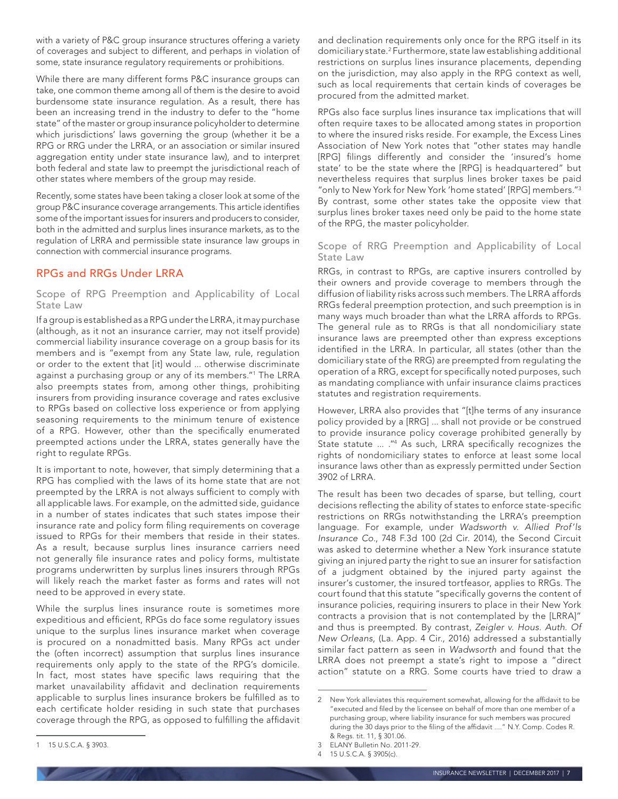with a variety of P&C group insurance structures offering a variety of coverages and subject to different, and perhaps in violation of some, state insurance regulatory requirements or prohibitions.

While there are many different forms P&C insurance groups can take, one common theme among all of them is the desire to avoid burdensome state insurance regulation. As a result, there has been an increasing trend in the industry to defer to the "home state" of the master or group insurance policyholder to determine which jurisdictions' laws governing the group (whether it be a RPG or RRG under the LRRA, or an association or similar insured aggregation entity under state insurance law), and to interpret both federal and state law to preempt the jurisdictional reach of other states where members of the group may reside.

Recently, some states have been taking a closer look at some of the group P&C insurance coverage arrangements. This article identifies some of the important issues for insurers and producers to consider, both in the admitted and surplus lines insurance markets, as to the regulation of LRRA and permissible state insurance law groups in connection with commercial insurance programs.

### RPGs and RRGs Under LRRA

Scope of RPG Preemption and Applicability of Local State Law

If a group is established as a RPG under the LRRA, it may purchase (although, as it not an insurance carrier, may not itself provide) commercial liability insurance coverage on a group basis for its members and is "exempt from any State law, rule, regulation or order to the extent that [it] would ... otherwise discriminate against a purchasing group or any of its members."1 The LRRA also preempts states from, among other things, prohibiting insurers from providing insurance coverage and rates exclusive to RPGs based on collective loss experience or from applying seasoning requirements to the minimum tenure of existence of a RPG. However, other than the specifically enumerated preempted actions under the LRRA, states generally have the right to regulate RPGs.

It is important to note, however, that simply determining that a RPG has complied with the laws of its home state that are not preempted by the LRRA is not always sufficient to comply with all applicable laws. For example, on the admitted side, guidance in a number of states indicates that such states impose their insurance rate and policy form filing requirements on coverage issued to RPGs for their members that reside in their states. As a result, because surplus lines insurance carriers need not generally file insurance rates and policy forms, multistate programs underwritten by surplus lines insurers through RPGs will likely reach the market faster as forms and rates will not need to be approved in every state.

While the surplus lines insurance route is sometimes more expeditious and efficient, RPGs do face some regulatory issues unique to the surplus lines insurance market when coverage is procured on a nonadmitted basis. Many RPGs act under the (often incorrect) assumption that surplus lines insurance requirements only apply to the state of the RPG's domicile. In fact, most states have specific laws requiring that the market unavailability affidavit and declination requirements applicable to surplus lines insurance brokers be fulfilled as to each certificate holder residing in such state that purchases coverage through the RPG, as opposed to fulfilling the affidavit and declination requirements only once for the RPG itself in its domiciliary state.2 Furthermore, state law establishing additional restrictions on surplus lines insurance placements, depending on the jurisdiction, may also apply in the RPG context as well, such as local requirements that certain kinds of coverages be procured from the admitted market.

RPGs also face surplus lines insurance tax implications that will often require taxes to be allocated among states in proportion to where the insured risks reside. For example, the Excess Lines Association of New York notes that "other states may handle [RPG] filings differently and consider the 'insured's home state' to be the state where the [RPG] is headquartered" but nevertheless requires that surplus lines broker taxes be paid "only to New York for New York 'home stated' [RPG] members."3 By contrast, some other states take the opposite view that surplus lines broker taxes need only be paid to the home state of the RPG, the master policyholder.

#### Scope of RRG Preemption and Applicability of Local State Law

RRGs, in contrast to RPGs, are captive insurers controlled by their owners and provide coverage to members through the diffusion of liability risks across such members. The LRRA affords RRGs federal preemption protection, and such preemption is in many ways much broader than what the LRRA affords to RPGs. The general rule as to RRGs is that all nondomiciliary state insurance laws are preempted other than express exceptions identified in the LRRA. In particular, all states (other than the domiciliary state of the RRG) are preempted from regulating the operation of a RRG, except for specifically noted purposes, such as mandating compliance with unfair insurance claims practices statutes and registration requirements.

However, LRRA also provides that "[t]he terms of any insurance policy provided by a [RRG] ... shall not provide or be construed to provide insurance policy coverage prohibited generally by State statute ... ."4 As such, LRRA specifically recognizes the rights of nondomiciliary states to enforce at least some local insurance laws other than as expressly permitted under Section 3902 of LRRA.

The result has been two decades of sparse, but telling, court decisions reflecting the ability of states to enforce state-specific restrictions on RRGs notwithstanding the LRRA's preemption language. For example, under *Wadsworth v. Allied Prof'ls Insurance Co.*, 748 F.3d 100 (2d Cir. 2014), the Second Circuit was asked to determine whether a New York insurance statute giving an injured party the right to sue an insurer for satisfaction of a judgment obtained by the injured party against the insurer's customer, the insured tortfeasor, applies to RRGs. The court found that this statute "specifically governs the content of insurance policies, requiring insurers to place in their New York contracts a provision that is not contemplated by the [LRRA]" and thus is preempted. By contrast, *Zeigler v. Hous. Auth. Of New Orleans*, (La. App. 4 Cir., 2016) addressed a substantially similar fact pattern as seen in *Wadwsorth* and found that the LRRA does not preempt a state's right to impose a "direct action" statute on a RRG. Some courts have tried to draw a

<sup>2</sup> New York alleviates this requirement somewhat, allowing for the affidavit to be "executed and filed by the licensee on behalf of more than one member of a purchasing group, where liability insurance for such members was procured during the 30 days prior to the filing of the affidavit ...." N.Y. Comp. Codes R. & Regs. tit. 11, § 301.06.

<sup>3</sup> ELANY Bulletin No. 2011-29.

<sup>4</sup> 15 U.S.C.A. § 3905(c).

<sup>1</sup> 15 U.S.C.A. § 3903.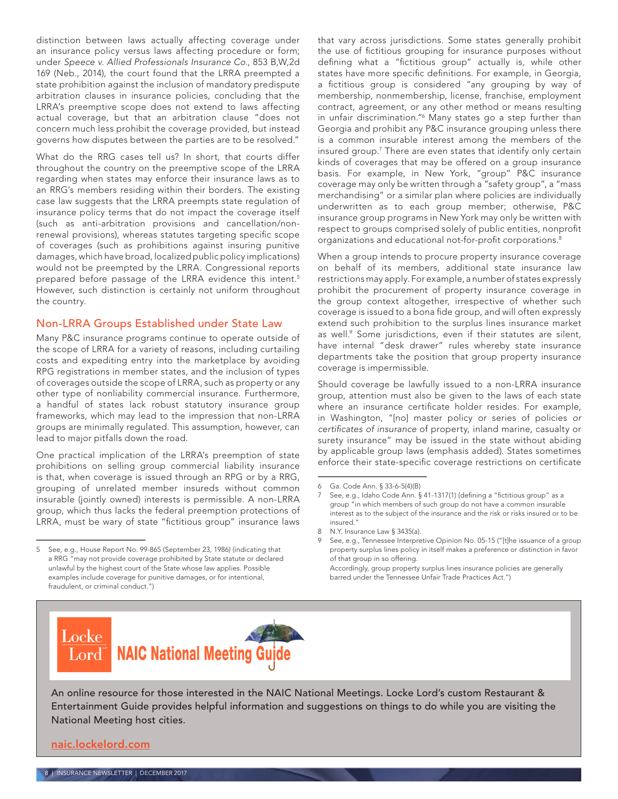distinction between laws actually affecting coverage under an insurance policy versus laws affecting procedure or form; under *Speece v. Allied Professionals Insurance Co.*, 853 B,W,2d 169 (Neb., 2014), the court found that the LRRA preempted a state prohibition against the inclusion of mandatory predispute arbitration clauses in insurance policies, concluding that the LRRA's preemptive scope does not extend to laws affecting actual coverage, but that an arbitration clause "does not concern much less prohibit the coverage provided, but instead governs how disputes between the parties are to be resolved."

What do the RRG cases tell us? In short, that courts differ throughout the country on the preemptive scope of the LRRA regarding when states may enforce their insurance laws as to an RRG's members residing within their borders. The existing case law suggests that the LRRA preempts state regulation of insurance policy terms that do not impact the coverage itself (such as anti-arbitration provisions and cancellation/nonrenewal provisions), whereas statutes targeting specific scope of coverages (such as prohibitions against insuring punitive damages, which have broad, localized public policy implications) would not be preempted by the LRRA. Congressional reports prepared before passage of the LRRA evidence this intent.5 However, such distinction is certainly not uniform throughout the country.

### Non-LRRA Groups Established under State Law

Many P&C insurance programs continue to operate outside of the scope of LRRA for a variety of reasons, including curtailing costs and expediting entry into the marketplace by avoiding RPG registrations in member states, and the inclusion of types of coverages outside the scope of LRRA, such as property or any other type of nonliability commercial insurance. Furthermore, a handful of states lack robust statutory insurance group frameworks, which may lead to the impression that non-LRRA groups are minimally regulated. This assumption, however, can lead to major pitfalls down the road.

One practical implication of the LRRA's preemption of state prohibitions on selling group commercial liability insurance is that, when coverage is issued through an RPG or by a RRG, grouping of unrelated member insureds without common insurable (jointly owned) interests is permissible. A non-LRRA group, which thus lacks the federal preemption protections of LRRA, must be wary of state "fictitious group" insurance laws

that vary across jurisdictions. Some states generally prohibit the use of fictitious grouping for insurance purposes without defining what a "fictitious group" actually is, while other states have more specific definitions. For example, in Georgia, a fictitious group is considered "any grouping by way of membership, nonmembership, license, franchise, employment contract, agreement, or any other method or means resulting in unfair discrimination."6 Many states go a step further than Georgia and prohibit any P&C insurance grouping unless there is a common insurable interest among the members of the insured group.7 There are even states that identify only certain kinds of coverages that may be offered on a group insurance basis. For example, in New York, "group" P&C insurance coverage may only be written through a "safety group", a "mass merchandising" or a similar plan where policies are individually underwritten as to each group member; otherwise, P&C insurance group programs in New York may only be written with respect to groups comprised solely of public entities, nonprofit organizations and educational not-for-profit corporations.8

When a group intends to procure property insurance coverage on behalf of its members, additional state insurance law restrictions may apply. For example, a number of states expressly prohibit the procurement of property insurance coverage in the group context altogether, irrespective of whether such coverage is issued to a bona fide group, and will often expressly extend such prohibition to the surplus lines insurance market as well.<sup>9</sup> Some jurisdictions, even if their statutes are silent, have internal "desk drawer" rules whereby state insurance departments take the position that group property insurance coverage is impermissible.

Should coverage be lawfully issued to a non-LRRA insurance group, attention must also be given to the laws of each state where an insurance certificate holder resides. For example, in Washington, "[no] master policy or series of policies *or certificates of insurance* of property, inland marine, casualty or surety insurance" may be issued in the state without abiding by applicable group laws (emphasis added). States sometimes enforce their state-specific coverage restrictions on certificate

barred under the Tennessee Unfair Trade Practices Act.")

Locke **NAIC National Meeting G** Lord

An online resource for those interested in the NAIC National Meetings. Locke Lord's custom Restaurant & Entertainment Guide provides helpful information and suggestions on things to do while you are visiting the National Meeting host cities.

[naic.lockelord.com](http://naic.lockelord.com)

<sup>5</sup> See, e.g., House Report No. 99-865 (September 23, 1986) (indicating that a RRG "may not provide coverage prohibited by State statute or declared unlawful by the highest court of the State whose law applies. Possible examples include coverage for punitive damages, or for intentional, fraudulent, or criminal conduct.")

<sup>6</sup> Ga. Code Ann. § 33-6-5(4)(B)

<sup>7</sup> See, e.g., Idaho Code Ann. § 41-1317(1) (defining a "fictitious group" as a group "in which members of such group do not have a common insurable interest as to the subject of the insurance and the risk or risks insured or to be insured."

<sup>8</sup> N.Y. Insurance Law § 3435(a).

<sup>9</sup> See, e.g., Tennessee Interpretive Opinion No. 05-15 ("[t]he issuance of a group property surplus lines policy in itself makes a preference or distinction in favor of that group in so offering. Accordingly, group property surplus lines insurance policies are generally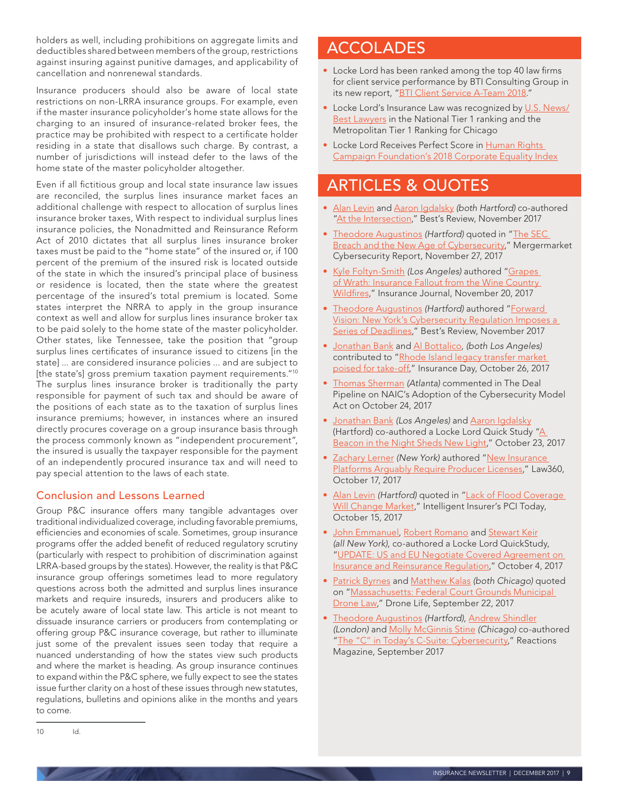holders as well, including prohibitions on aggregate limits and deductibles shared between members of the group, restrictions against insuring against punitive damages, and applicability of cancellation and nonrenewal standards.

Insurance producers should also be aware of local state restrictions on non-LRRA insurance groups. For example, even if the master insurance policyholder's home state allows for the charging to an insured of insurance-related broker fees, the practice may be prohibited with respect to a certificate holder residing in a state that disallows such charge. By contrast, a number of jurisdictions will instead defer to the laws of the home state of the master policyholder altogether.

Even if all fictitious group and local state insurance law issues are reconciled, the surplus lines insurance market faces an additional challenge with respect to allocation of surplus lines insurance broker taxes, With respect to individual surplus lines insurance policies, the Nonadmitted and Reinsurance Reform Act of 2010 dictates that all surplus lines insurance broker taxes must be paid to the "home state" of the insured or, if 100 percent of the premium of the insured risk is located outside of the state in which the insured's principal place of business or residence is located, then the state where the greatest percentage of the insured's total premium is located. Some states interpret the NRRA to apply in the group insurance context as well and allow for surplus lines insurance broker tax to be paid solely to the home state of the master policyholder. Other states, like Tennessee, take the position that "group surplus lines certificates of insurance issued to citizens [in the state] ... are considered insurance policies ... and are subject to [the state's] gross premium taxation payment requirements."<sup>10</sup> The surplus lines insurance broker is traditionally the party responsible for payment of such tax and should be aware of the positions of each state as to the taxation of surplus lines insurance premiums; however, in instances where an insured directly procures coverage on a group insurance basis through the process commonly known as "independent procurement", the insured is usually the taxpayer responsible for the payment of an independently procured insurance tax and will need to pay special attention to the laws of each state.

### Conclusion and Lessons Learned

Group P&C insurance offers many tangible advantages over traditional individualized coverage, including favorable premiums, efficiencies and economies of scale. Sometimes, group insurance programs offer the added benefit of reduced regulatory scrutiny (particularly with respect to prohibition of discrimination against LRRA-based groups by the states). However, the reality is that P&C insurance group offerings sometimes lead to more regulatory questions across both the admitted and surplus lines insurance markets and require insureds, insurers and producers alike to be acutely aware of local state law. This article is not meant to dissuade insurance carriers or producers from contemplating or offering group P&C insurance coverage, but rather to illuminate just some of the prevalent issues seen today that require a nuanced understanding of how the states view such products and where the market is heading. As group insurance continues to expand within the P&C sphere, we fully expect to see the states issue further clarity on a host of these issues through new statutes, regulations, bulletins and opinions alike in the months and years to come.

## <span id="page-8-0"></span>ACCOLADES

- Locke Lord has been ranked among the top 40 law firms for client service performance by BTI Consulting Group in its new report, "[BTI Client Service A-Team 2018](https://www.lockelord.com/newsandevents/news/2017/11/locke-lord-ranked-among-top-law-firms)."
- Locke Lord's Insurance Law was recognized by [U.S. News/](https://www.lockelord.com/newsandevents/news/2017/11/locke-lord-recognized-by-us-newsbest-lawyers) [Best Lawyers](https://www.lockelord.com/newsandevents/news/2017/11/locke-lord-recognized-by-us-newsbest-lawyers) in the National Tier 1 ranking and the Metropolitan Tier 1 Ranking for Chicago
- Locke Lord Receives Perfect Score in Human Rights [Campaign Foundation's 2018 Corporate Equality Index](https://www.lockelord.com/newsandevents/news/2017/11/locke-lord-receives-perfect-score-in-human-rights)

## <span id="page-8-1"></span>ARTICLES & QUOTES

- [Alan Levin](https://www.lockelord.com/newsandevents/publications/2017/11/~/link.aspx?_id=5DA0A38A7C81480AB89F0D936792499C&_z=z) and [Aaron Igdalsky](https://www.lockelord.com/newsandevents/publications/2017/11/~/link.aspx?_id=D26267E723E641E18125DB4CA701A5F2&_z=z) *(both Hartford)* co-authored ["At the Intersection,](https://www.lockelord.com/newsandevents/publications/2017/11/at-the-intersection)" Best's Review, November 2017
- [Theodore Augustinos](https://www.lockelord.com/professionals/a/augustinos-theodore-p) *(Hartford)* quoted in ["The SEC](https://s3.eu-west-2.amazonaws.com/acuris-live/Toppan Vinntage_2017_newsletter 4_Final LR (update).pdf)  [Breach and the New Age of Cybersecurity,](https://s3.eu-west-2.amazonaws.com/acuris-live/Toppan Vinntage_2017_newsletter 4_Final LR (update).pdf)" Mergermarket Cybersecurity Report, November 27, 2017
- [Kyle Foltyn-Smith](https://www.lockelord.com/newsandevents/publications/2017/11/~/link.aspx?_id=306E2815C87D46B0920E24950B10F6CE&_z=z) *(Los Angeles)* authored ["Grapes](https://www.lockelord.com/newsandevents/publications/2017/11/grapes-of-wrath)  of Wrath: Insurance Fallout from the Wine Country [Wildfires,](https://www.lockelord.com/newsandevents/publications/2017/11/grapes-of-wrath)" Insurance Journal, November 20, 2017
- [Theodore Augustinos](https://www.lockelord.com/professionals/a/augustinos-theodore-p) *(Hartford)* authored ["Forward](http://lnet/Firm/Documents/InTheNews/BestsReview-2017RegLaw-Augustinos.pdf)  [Vision: New York's Cybersecurity Regulation Imposes a](http://lnet/Firm/Documents/InTheNews/BestsReview-2017RegLaw-Augustinos.pdf)  [Series of Deadlines](http://lnet/Firm/Documents/InTheNews/BestsReview-2017RegLaw-Augustinos.pdf)," Best's Review, November 2017
- [Jonathan Bank](https://www.lockelord.com/newsandevents/news/2017/10/~/link.aspx?_id=FFC6132250334CBAA55140DF217F04DC&_z=z) and [Al Bottalico](https://www.lockelord.com/newsandevents/news/2017/10/~/link.aspx?_id=A6B589C47CBC447C9936716888930EC6&_z=z), *(both Los Angeles)* **COLLEGATE CONTROLLEGATE CONTROLLEGATES** [poised for take-off](https://insuranceday.maritimeintelligence.informa.com/ID054932/Rhode-Island-legacy-transfer-market-poised-for-takeoff)," Insurance Day, October 26, 2017
- [Thomas Sherman](https://www.lockelord.com/professionals/s/sherman-thomas-d) *(Atlanta)* commented in The Deal Pipeline on NAIC's Adoption of the Cybersecurity Model Act on October 24, 2017
- [Jonathan Bank](https://www.lockelord.com/newsandevents/news/2017/10/~/link.aspx?_id=FFC6132250334CBAA55140DF217F04DC&_z=z) *(Los Angeles)* and [Aaron Igdalsky](https://www.lockelord.com/professionals/i/igdalsky-aaron) (Hartford) co-authored a Locke Lord Quick Study "A [Beacon in the Night Sheds New Light,](https://www.lockelord.com/newsandevents/publications/2017/10/beacon-in-the-night)" October 23, 2017
- [Zachary Lerner](https://www.lockelord.com/professionals/l/lerner-zachary-n) *(New York)* authored ["New Insurance](https://www.law360.com/insurance/articles/975404/new-insurance-platforms-arguably-require-producer-licenses)  [Platforms Arguably Require Producer Licenses,](https://www.law360.com/insurance/articles/975404/new-insurance-platforms-arguably-require-producer-licenses)" Law360, October 17, 2017
- [Alan Levin](https://www.lockelord.com/newsandevents/publications/2017/11/~/link.aspx?_id=5DA0A38A7C81480AB89F0D936792499C&_z=z) *(Hartford)* quoted in "[Lack of Flood Coverage](https://www.lockelord.com/newsandevents/news/2017/10/locke-lord-vice-chair-alan-levin-quoted)  [Will Change Market](https://www.lockelord.com/newsandevents/news/2017/10/locke-lord-vice-chair-alan-levin-quoted)," Intelligent Insurer's PCI Today, October 15, 2017
- [John Emmanuel](https://www.lockelord.com/professionals/e/emmanuel-john-n), [Robert Romano](https://www.lockelord.com/professionals/r/romano-robert-a) and [Stewart Keir](https://www.lockelord.com/professionals/k/keir-stewart) *(all New York)*, co-authored a Locke Lord QuickStudy, "[UPDATE: US and EU Negotiate Covered Agreement on](https://www.lockelord.com/newsandevents/publications/2017/10/us-and-eu-negotiate-covered-agreement)  [Insurance and Reinsurance Regulation,](https://www.lockelord.com/newsandevents/publications/2017/10/us-and-eu-negotiate-covered-agreement)" October 4, 2017
- [Patrick Byrnes](https://www.lockelord.com/newsandevents/news/2017/09/~/link.aspx?_id=F092B6D1357249D7B6F349E6D2CCA3EC&_z=z) and [Matthew Kalas](https://www.lockelord.com/newsandevents/news/2017/09/~/link.aspx?_id=0CCF1EFB1F0F4414AE10102D8C9E6FA5&_z=z) *(both Chicago)* quoted on ["Massachusetts: Federal Court Grounds Municipal](https://www.lockelord.com/newsandevents/news/2017/09/locke-lord-aviation-defense-group-chicago-lawyers)  [Drone Law](https://www.lockelord.com/newsandevents/news/2017/09/locke-lord-aviation-defense-group-chicago-lawyers)," Drone Life, September 22, 2017
- [Theodore Augustinos](https://www.lockelord.com/professionals/a/augustinos-theodore-p) *(Hartford)*, [Andrew Shindler](https://www.lockelord.com/professionals/s/shindler-andrew) *(London)* and [Molly McGinnis Stine](https://www.lockelord.com/professionals/s/stine-molly-mcginnis) *(Chicago)* co-authored "[The "C" in Today's C-Suite: Cybersecurity](https://www.lockelord.com/newsandevents/publications/2017/09/~/media/CD54AB032C0642DC847CBAABA2E7F853.ashx)," Reactions Magazine, September 2017

<sup>10</sup> Id.